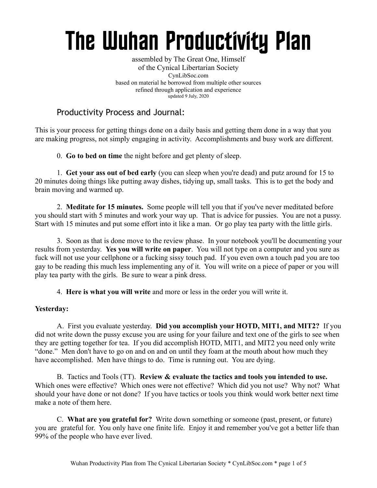# The Wuhan Productivity Plan

assembled by The Great One, Himself of the Cynical Libertarian Society CynLibSoc.com based on material he borrowed from multiple other sources refined through application and experience updated 9 July, 2020

# Productivity Process and Journal:

This is your process for getting things done on a daily basis and getting them done in a way that you are making progress, not simply engaging in activity. Accomplishments and busy work are different.

0. **Go to bed on time** the night before and get plenty of sleep.

1. **Get your ass out of bed early** (you can sleep when you're dead) and putz around for 15 to 20 minutes doing things like putting away dishes, tidying up, small tasks. This is to get the body and brain moving and warmed up.

2. **Meditate for 15 minutes.** Some people will tell you that if you've never meditated before you should start with 5 minutes and work your way up. That is advice for pussies. You are not a pussy. Start with 15 minutes and put some effort into it like a man. Or go play tea party with the little girls.

3. Soon as that is done move to the review phase. In your notebook you'll be documenting your results from yesterday. **Yes you will write on paper**. You will not type on a computer and you sure as fuck will not use your cellphone or a fucking sissy touch pad. If you even own a touch pad you are too gay to be reading this much less implementing any of it. You will write on a piece of paper or you will play tea party with the girls. Be sure to wear a pink dress.

4. **Here is what you will write** and more or less in the order you will write it.

#### **Yesterday:**

A. First you evaluate yesterday. **Did you accomplish your HOTD, MIT1, and MIT2?** If you did not write down the pussy excuse you are using for your failure and text one of the girls to see when they are getting together for tea. If you did accomplish HOTD, MIT1, and MIT2 you need only write "done." Men don't have to go on and on and on until they foam at the mouth about how much they have accomplished. Men have things to do. Time is running out. You are dying.

B. Tactics and Tools (TT). **Review & evaluate the tactics and tools you intended to use.** Which ones were effective? Which ones were not effective? Which did you not use? Why not? What should your have done or not done? If you have tactics or tools you think would work better next time make a note of them here.

C. **What are you grateful for?** Write down something or someone (past, present, or future) you are grateful for. You only have one finite life. Enjoy it and remember you've got a better life than 99% of the people who have ever lived.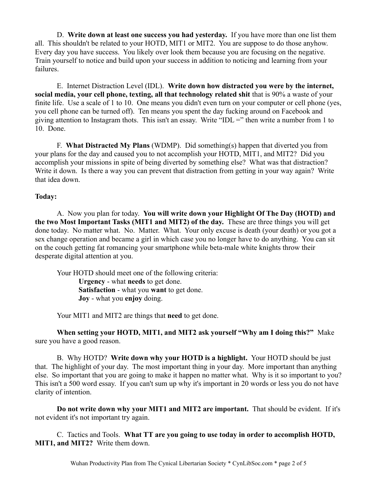D. **Write down at least one success you had yesterday.** If you have more than one list them all. This shouldn't be related to your HOTD, MIT1 or MIT2. You are suppose to do those anyhow. Every day you have success. You likely over look them because you are focusing on the negative. Train yourself to notice and build upon your success in addition to noticing and learning from your failures.

E. Internet Distraction Level (IDL). **Write down how distracted you were by the internet, social media, your cell phone, texting, all that technology related shit** that is 90% a waste of your finite life. Use a scale of 1 to 10. One means you didn't even turn on your computer or cell phone (yes, you cell phone can be turned off). Ten means you spent the day fucking around on Facebook and giving attention to Instagram thots. This isn't an essay. Write "IDL =" then write a number from 1 to 10. Done.

F. **What Distracted My Plans** (WDMP). Did something(s) happen that diverted you from your plans for the day and caused you to not accomplish your HOTD, MIT1, and MIT2? Did you accomplish your missions in spite of being diverted by something else? What was that distraction? Write it down. Is there a way you can prevent that distraction from getting in your way again? Write that idea down.

#### **Today:**

A. Now you plan for today. **You will write down your Highlight Of The Day (HOTD) and the two Most Important Tasks (MIT1 and MIT2) of the day.** These are three things you will get done today. No matter what. No. Matter. What. Your only excuse is death (your death) or you got a sex change operation and became a girl in which case you no longer have to do anything. You can sit on the couch getting fat romancing your smartphone while beta-male white knights throw their desperate digital attention at you.

Your HOTD should meet one of the following criteria: **Urgency** - what **needs** to get done. **Satisfaction** - what you **want** to get done. **Joy** - what you **enjoy** doing.

Your MIT1 and MIT2 are things that **need** to get done.

**When setting your HOTD, MIT1, and MIT2 ask yourself "Why am I doing this?"** Make sure you have a good reason.

B. Why HOTD? **Write down why your HOTD is a highlight.** Your HOTD should be just that. The highlight of your day. The most important thing in your day. More important than anything else. So important that you are going to make it happen no matter what. Why is it so important to you? This isn't a 500 word essay. If you can't sum up why it's important in 20 words or less you do not have clarity of intention.

**Do not write down why your MIT1 and MIT2 are important.** That should be evident. If it's not evident it's not important try again.

C. Tactics and Tools. **What TT are you going to use today in order to accomplish HOTD, MIT1, and MIT2?** Write them down.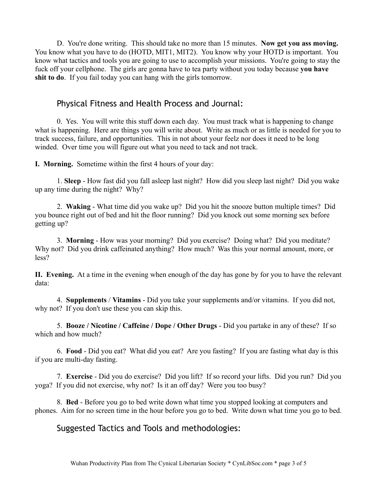D. You're done writing. This should take no more than 15 minutes. **Now get you ass moving.** You know what you have to do (HOTD, MIT1, MIT2). You know why your HOTD is important. You know what tactics and tools you are going to use to accomplish your missions. You're going to stay the fuck off your cellphone. The girls are gonna have to tea party without you today because **you have shit to do**. If you fail today you can hang with the girls tomorrow.

## Physical Fitness and Health Process and Journal:

0. Yes. You will write this stuff down each day. You must track what is happening to change what is happening. Here are things you will write about. Write as much or as little is needed for you to track success, failure, and opportunities. This in not about your feelz nor does it need to be long winded. Over time you will figure out what you need to tack and not track.

**I. Morning.** Sometime within the first 4 hours of your day:

1. **Sleep** - How fast did you fall asleep last night? How did you sleep last night? Did you wake up any time during the night? Why?

2. **Waking** - What time did you wake up? Did you hit the snooze button multiple times? Did you bounce right out of bed and hit the floor running? Did you knock out some morning sex before getting up?

3. **Morning** - How was your morning? Did you exercise? Doing what? Did you meditate? Why not? Did you drink caffeinated anything? How much? Was this your normal amount, more, or less?

**II. Evening.** At a time in the evening when enough of the day has gone by for you to have the relevant data:

4. **Supplements** / **Vitamins** - Did you take your supplements and/or vitamins. If you did not, why not? If you don't use these you can skip this.

5. **Booze / Nicotine / Caffeine / Dope / Other Drugs** - Did you partake in any of these? If so which and how much?

6. **Food** - Did you eat? What did you eat? Are you fasting? If you are fasting what day is this if you are multi-day fasting.

7. **Exercise** - Did you do exercise? Did you lift? If so record your lifts. Did you run? Did you yoga? If you did not exercise, why not? Is it an off day? Were you too busy?

8. **Bed** - Before you go to bed write down what time you stopped looking at computers and phones. Aim for no screen time in the hour before you go to bed. Write down what time you go to bed.

## Suggested Tactics and Tools and methodologies: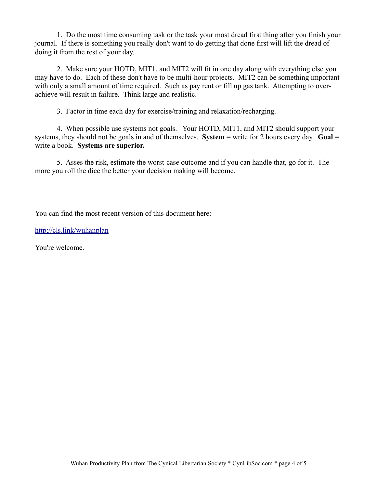1. Do the most time consuming task or the task your most dread first thing after you finish your journal. If there is something you really don't want to do getting that done first will lift the dread of doing it from the rest of your day.

2. Make sure your HOTD, MIT1, and MIT2 will fit in one day along with everything else you may have to do. Each of these don't have to be multi-hour projects. MIT2 can be something important with only a small amount of time required. Such as pay rent or fill up gas tank. Attempting to overachieve will result in failure. Think large and realistic.

3. Factor in time each day for exercise/training and relaxation/recharging.

4. When possible use systems not goals. Your HOTD, MIT1, and MIT2 should support your systems, they should not be goals in and of themselves. **System** = write for 2 hours every day. **Goal** = write a book. **Systems are superior.**

5. Asses the risk, estimate the worst-case outcome and if you can handle that, go for it. The more you roll the dice the better your decision making will become.

You can find the most recent version of this document here:

<http://cls.link/wuhanplan>

You're welcome.